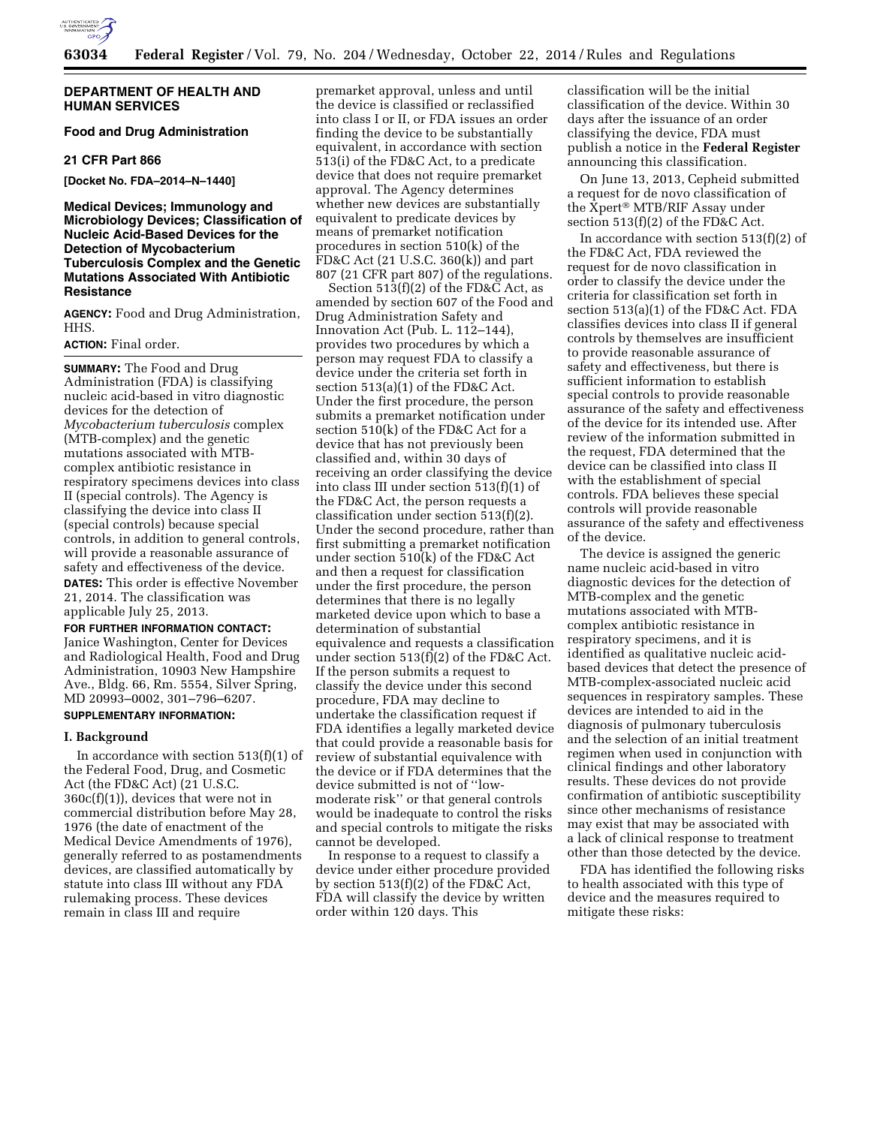

### **DEPARTMENT OF HEALTH AND HUMAN SERVICES**

# **Food and Drug Administration**

#### **21 CFR Part 866**

**[Docket No. FDA–2014–N–1440]** 

# **Medical Devices; Immunology and Microbiology Devices; Classification of Nucleic Acid-Based Devices for the Detection of Mycobacterium Tuberculosis Complex and the Genetic Mutations Associated With Antibiotic Resistance**

**AGENCY:** Food and Drug Administration, HHS.

#### **ACTION:** Final order.

**SUMMARY:** The Food and Drug Administration (FDA) is classifying nucleic acid-based in vitro diagnostic devices for the detection of *Mycobacterium tuberculosis* complex (MTB-complex) and the genetic mutations associated with MTBcomplex antibiotic resistance in respiratory specimens devices into class II (special controls). The Agency is classifying the device into class II (special controls) because special controls, in addition to general controls, will provide a reasonable assurance of safety and effectiveness of the device. **DATES:** This order is effective November 21, 2014. The classification was applicable July 25, 2013.

# **FOR FURTHER INFORMATION CONTACT:**

Janice Washington, Center for Devices and Radiological Health, Food and Drug Administration, 10903 New Hampshire Ave., Bldg. 66, Rm. 5554, Silver Spring, MD 20993–0002, 301–796–6207.

# **SUPPLEMENTARY INFORMATION:**

#### **I. Background**

In accordance with section  $513(f)(1)$  of the Federal Food, Drug, and Cosmetic Act (the FD&C Act) (21 U.S.C. 360c(f)(1)), devices that were not in commercial distribution before May 28, 1976 (the date of enactment of the Medical Device Amendments of 1976), generally referred to as postamendments devices, are classified automatically by statute into class III without any FDA rulemaking process. These devices remain in class III and require

premarket approval, unless and until the device is classified or reclassified into class I or II, or FDA issues an order finding the device to be substantially equivalent, in accordance with section 513(i) of the FD&C Act, to a predicate device that does not require premarket approval. The Agency determines whether new devices are substantially equivalent to predicate devices by means of premarket notification procedures in section 510(k) of the FD&C Act (21 U.S.C. 360(k)) and part 807 (21 CFR part 807) of the regulations.

Section  $51\overline{3}$ (f)(2) of the FD&C Act, as amended by section 607 of the Food and Drug Administration Safety and Innovation Act (Pub. L. 112–144), provides two procedures by which a person may request FDA to classify a device under the criteria set forth in section 513(a)(1) of the FD&C Act. Under the first procedure, the person submits a premarket notification under section 510(k) of the FD&C Act for a device that has not previously been classified and, within 30 days of receiving an order classifying the device into class III under section 513(f)(1) of the FD&C Act, the person requests a classification under section 513(f)(2). Under the second procedure, rather than first submitting a premarket notification under section 510(k) of the FD&C Act and then a request for classification under the first procedure, the person determines that there is no legally marketed device upon which to base a determination of substantial equivalence and requests a classification under section  $513(f)(2)$  of the FD&C Act. If the person submits a request to classify the device under this second procedure, FDA may decline to undertake the classification request if FDA identifies a legally marketed device that could provide a reasonable basis for review of substantial equivalence with the device or if FDA determines that the device submitted is not of ''lowmoderate risk'' or that general controls would be inadequate to control the risks and special controls to mitigate the risks cannot be developed.

In response to a request to classify a device under either procedure provided by section 513(f)(2) of the FD&C Act, FDA will classify the device by written order within 120 days. This

classification will be the initial classification of the device. Within 30 days after the issuance of an order classifying the device, FDA must publish a notice in the **Federal Register**  announcing this classification.

On June 13, 2013, Cepheid submitted a request for de novo classification of the Xpert® MTB/RIF Assay under section 513(f)(2) of the FD&C Act.

In accordance with section 513(f)(2) of the FD&C Act, FDA reviewed the request for de novo classification in order to classify the device under the criteria for classification set forth in section 513(a)(1) of the FD&C Act. FDA classifies devices into class II if general controls by themselves are insufficient to provide reasonable assurance of safety and effectiveness, but there is sufficient information to establish special controls to provide reasonable assurance of the safety and effectiveness of the device for its intended use. After review of the information submitted in the request, FDA determined that the device can be classified into class II with the establishment of special controls. FDA believes these special controls will provide reasonable assurance of the safety and effectiveness of the device.

The device is assigned the generic name nucleic acid-based in vitro diagnostic devices for the detection of MTB-complex and the genetic mutations associated with MTBcomplex antibiotic resistance in respiratory specimens, and it is identified as qualitative nucleic acidbased devices that detect the presence of MTB-complex-associated nucleic acid sequences in respiratory samples. These devices are intended to aid in the diagnosis of pulmonary tuberculosis and the selection of an initial treatment regimen when used in conjunction with clinical findings and other laboratory results. These devices do not provide confirmation of antibiotic susceptibility since other mechanisms of resistance may exist that may be associated with a lack of clinical response to treatment other than those detected by the device.

FDA has identified the following risks to health associated with this type of device and the measures required to mitigate these risks: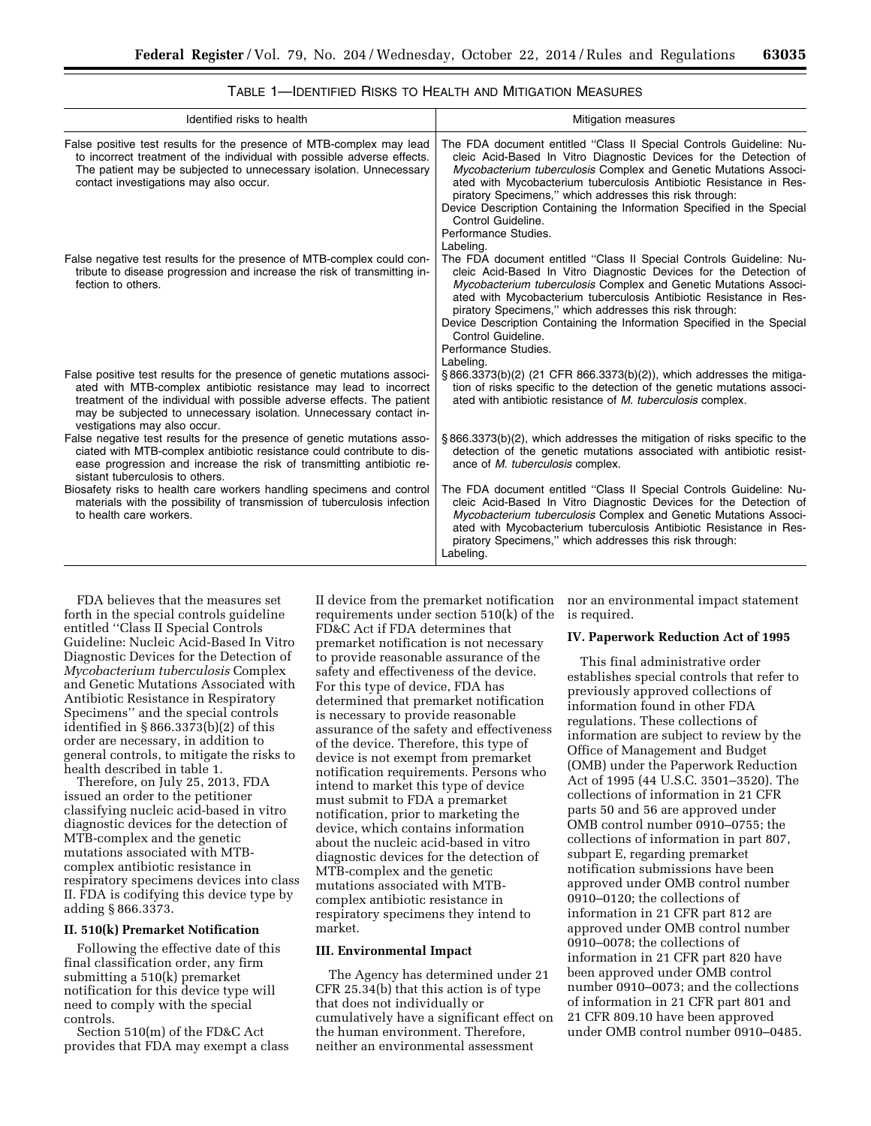| Identified risks to health                                                                                                                                                                                                                                                                                                     | <b>Mitigation measures</b>                                                                                                                                                                                                                                                                                                                                                                                                                                                         |
|--------------------------------------------------------------------------------------------------------------------------------------------------------------------------------------------------------------------------------------------------------------------------------------------------------------------------------|------------------------------------------------------------------------------------------------------------------------------------------------------------------------------------------------------------------------------------------------------------------------------------------------------------------------------------------------------------------------------------------------------------------------------------------------------------------------------------|
| False positive test results for the presence of MTB-complex may lead<br>to incorrect treatment of the individual with possible adverse effects.<br>The patient may be subjected to unnecessary isolation. Unnecessary<br>contact investigations may also occur.                                                                | The FDA document entitled "Class II Special Controls Guideline: Nu-<br>cleic Acid-Based In Vitro Diagnostic Devices for the Detection of<br>Mycobacterium tuberculosis Complex and Genetic Mutations Associ-<br>ated with Mycobacterium tuberculosis Antibiotic Resistance in Res-<br>piratory Specimens," which addresses this risk through:<br>Device Description Containing the Information Specified in the Special<br>Control Guideline.<br>Performance Studies.<br>Labeling. |
| False negative test results for the presence of MTB-complex could con-<br>tribute to disease progression and increase the risk of transmitting in-<br>fection to others.                                                                                                                                                       | The FDA document entitled "Class II Special Controls Guideline: Nu-<br>cleic Acid-Based In Vitro Diagnostic Devices for the Detection of<br>Mycobacterium tuberculosis Complex and Genetic Mutations Associ-<br>ated with Mycobacterium tuberculosis Antibiotic Resistance in Res-<br>piratory Specimens," which addresses this risk through:<br>Device Description Containing the Information Specified in the Special<br>Control Guideline.<br>Performance Studies.<br>Labeling. |
| False positive test results for the presence of genetic mutations associ-<br>ated with MTB-complex antibiotic resistance may lead to incorrect<br>treatment of the individual with possible adverse effects. The patient<br>may be subjected to unnecessary isolation. Unnecessary contact in-<br>vestigations may also occur. | §866.3373(b)(2) (21 CFR 866.3373(b)(2)), which addresses the mitiga-<br>tion of risks specific to the detection of the genetic mutations associ-<br>ated with antibiotic resistance of M. tuberculosis complex.                                                                                                                                                                                                                                                                    |
| False negative test results for the presence of genetic mutations asso-<br>ciated with MTB-complex antibiotic resistance could contribute to dis-<br>ease progression and increase the risk of transmitting antibiotic re-<br>sistant tuberculosis to others.                                                                  | §866.3373(b)(2), which addresses the mitigation of risks specific to the<br>detection of the genetic mutations associated with antibiotic resist-<br>ance of <i>M. tuberculosis</i> complex.                                                                                                                                                                                                                                                                                       |
| Biosafety risks to health care workers handling specimens and control<br>materials with the possibility of transmission of tuberculosis infection<br>to health care workers.                                                                                                                                                   | The FDA document entitled "Class II Special Controls Guideline: Nu-<br>cleic Acid-Based In Vitro Diagnostic Devices for the Detection of<br>Mycobacterium tuberculosis Complex and Genetic Mutations Associ-<br>ated with Mycobacterium tuberculosis Antibiotic Resistance in Res-<br>piratory Specimens," which addresses this risk through:<br>Labeling.                                                                                                                         |

TABLE 1—IDENTIFIED RISKS TO HEALTH AND MITIGATION MEASURES

FDA believes that the measures set forth in the special controls guideline entitled ''Class II Special Controls Guideline: Nucleic Acid-Based In Vitro Diagnostic Devices for the Detection of *Mycobacterium tuberculosis* Complex and Genetic Mutations Associated with Antibiotic Resistance in Respiratory Specimens'' and the special controls identified in § 866.3373(b)(2) of this order are necessary, in addition to general controls, to mitigate the risks to health described in table 1.

Therefore, on July 25, 2013, FDA issued an order to the petitioner classifying nucleic acid-based in vitro diagnostic devices for the detection of MTB-complex and the genetic mutations associated with MTBcomplex antibiotic resistance in respiratory specimens devices into class II. FDA is codifying this device type by adding § 866.3373.

# **II. 510(k) Premarket Notification**

Following the effective date of this final classification order, any firm submitting a 510(k) premarket notification for this device type will need to comply with the special controls.

Section 510(m) of the FD&C Act provides that FDA may exempt a class

II device from the premarket notification requirements under section 510(k) of the FD&C Act if FDA determines that premarket notification is not necessary to provide reasonable assurance of the safety and effectiveness of the device. For this type of device, FDA has determined that premarket notification is necessary to provide reasonable assurance of the safety and effectiveness of the device. Therefore, this type of device is not exempt from premarket notification requirements. Persons who intend to market this type of device must submit to FDA a premarket notification, prior to marketing the device, which contains information about the nucleic acid-based in vitro diagnostic devices for the detection of MTB-complex and the genetic mutations associated with MTBcomplex antibiotic resistance in respiratory specimens they intend to market.

#### **III. Environmental Impact**

The Agency has determined under 21 CFR 25.34(b) that this action is of type that does not individually or cumulatively have a significant effect on the human environment. Therefore, neither an environmental assessment

nor an environmental impact statement is required.

## **IV. Paperwork Reduction Act of 1995**

This final administrative order establishes special controls that refer to previously approved collections of information found in other FDA regulations. These collections of information are subject to review by the Office of Management and Budget (OMB) under the Paperwork Reduction Act of 1995 (44 U.S.C. 3501–3520). The collections of information in 21 CFR parts 50 and 56 are approved under OMB control number 0910–0755; the collections of information in part 807, subpart E, regarding premarket notification submissions have been approved under OMB control number 0910–0120; the collections of information in 21 CFR part 812 are approved under OMB control number 0910–0078; the collections of information in 21 CFR part 820 have been approved under OMB control number 0910–0073; and the collections of information in 21 CFR part 801 and 21 CFR 809.10 have been approved under OMB control number 0910–0485.